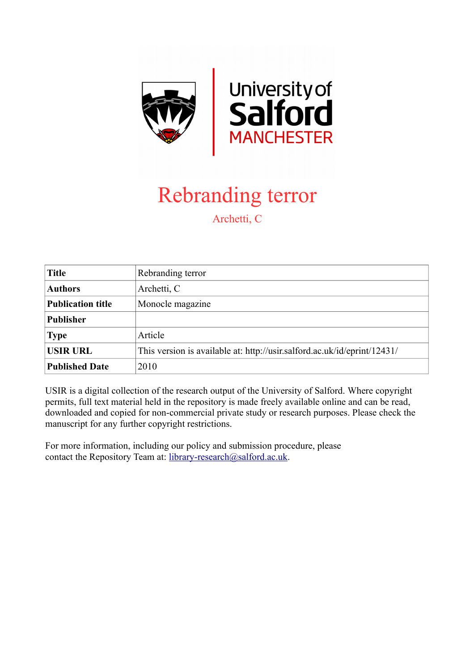

## Rebranding terror

Archetti, C

| <b>Title</b>             | Rebranding terror                                                        |
|--------------------------|--------------------------------------------------------------------------|
| <b>Authors</b>           | Archetti, C                                                              |
| <b>Publication title</b> | Monocle magazine                                                         |
| <b>Publisher</b>         |                                                                          |
| <b>Type</b>              | Article                                                                  |
| <b>USIR URL</b>          | This version is available at: http://usir.salford.ac.uk/id/eprint/12431/ |
| <b>Published Date</b>    | 2010                                                                     |

USIR is a digital collection of the research output of the University of Salford. Where copyright permits, full text material held in the repository is made freely available online and can be read, downloaded and copied for non-commercial private study or research purposes. Please check the manuscript for any further copyright restrictions.

For more information, including our policy and submission procedure, please contact the Repository Team at: [library-research@salford.ac.uk.](mailto:library-research@salford.ac.uk)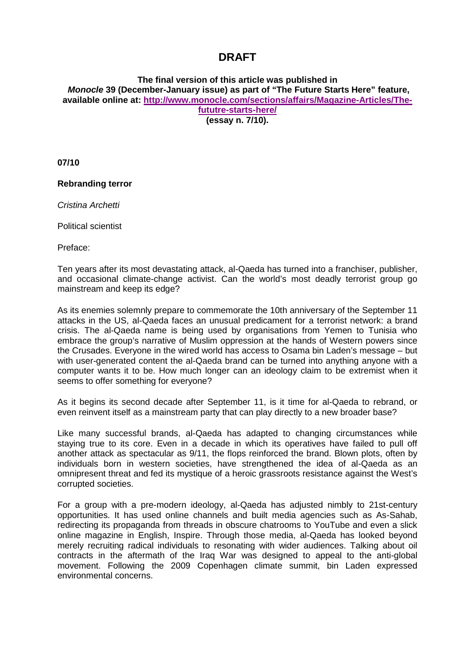## **DRAFT**

**The final version of this article was published in** *Monocle* **39 (December-January issue) as part of "The Future Starts Here" feature, available online at: [http://www.monocle.com/sections/affairs/Magazine-Articles/The](http://www.monocle.com/sections/affairs/Magazine-Articles/The-fututre-starts-here/)[fututre-starts-here/](http://www.monocle.com/sections/affairs/Magazine-Articles/The-fututre-starts-here/)**

**(essay n. 7/10).**

**07/10**

**Rebranding terror**

*Cristina Archetti*

Political scientist

Preface:

Ten years after its most devastating attack, al-Qaeda has turned into a franchiser, publisher, and occasional climate-change activist. Can the world's most deadly terrorist group go mainstream and keep its edge?

As its enemies solemnly prepare to commemorate the 10th anniversary of the September 11 attacks in the US, al-Qaeda faces an unusual predicament for a terrorist network: a brand crisis. The al-Qaeda name is being used by organisations from Yemen to Tunisia who embrace the group's narrative of Muslim oppression at the hands of Western powers since the Crusades. Everyone in the wired world has access to Osama bin Laden's message – but with user-generated content the al-Qaeda brand can be turned into anything anyone with a computer wants it to be. How much longer can an ideology claim to be extremist when it seems to offer something for everyone?

As it begins its second decade after September 11, is it time for al-Qaeda to rebrand, or even reinvent itself as a mainstream party that can play directly to a new broader base?

Like many successful brands, al-Qaeda has adapted to changing circumstances while staying true to its core. Even in a decade in which its operatives have failed to pull off another attack as spectacular as 9/11, the flops reinforced the brand. Blown plots, often by individuals born in western societies, have strengthened the idea of al-Qaeda as an omnipresent threat and fed its mystique of a heroic grassroots resistance against the West's corrupted societies.

For a group with a pre-modern ideology, al-Qaeda has adjusted nimbly to 21st-century opportunities. It has used online channels and built media agencies such as As-Sahab, redirecting its propaganda from threads in obscure chatrooms to YouTube and even a slick online magazine in English, Inspire. Through those media, al-Qaeda has looked beyond merely recruiting radical individuals to resonating with wider audiences. Talking about oil contracts in the aftermath of the Iraq War was designed to appeal to the anti-global movement. Following the 2009 Copenhagen climate summit, bin Laden expressed environmental concerns.